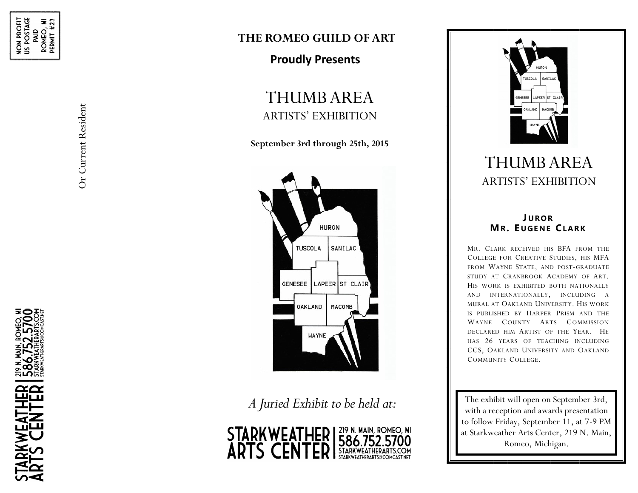**THE ROMEO GUILD OF ART**

 **Proudly Presents**

# THUMB AREA ARTISTS' EXHIBITION

**September 3rd through 25th, 2015**



*A Juried Exhibit to be held at:*





# THUMB AREA ARTISTS' EXHIBITION

## **J UROR MR. E UGE NE CLARK**

MR. CLARK RECEIVED HIS BFA FROM THE COLLEGE FOR CREATIVE STUDIES, HIS MFA FROM WAYNE STATE, AND POST-GRADUATE STUDY AT CRANBROOK ACADEMY OF ART. HIS WORK IS EXHIBITED BOTH NATIONALLY AND INTERNATIONALLY, INCLUDING A MURAL AT OAKLAND UNIVERSITY. HIS WORK IS PUBLISHED BY HARPER PRISM AND THE WAYNE COUNTY ARTS COMMISSION DECLARED HIM ARTIST OF THE YEAR. HE HAS 26 YEARS OF TEACHING INCLUDING CCS, OAKLAND UNIVERSITY AND OAKLAND COMMUNITY COLLEGE.

The exhibit will open on September 3rd, with a reception and awards presentation to follow Friday, September 11, at 7-9 PM at Starkweather Arts Center, 219 N. Main, Romeo, Michigan.